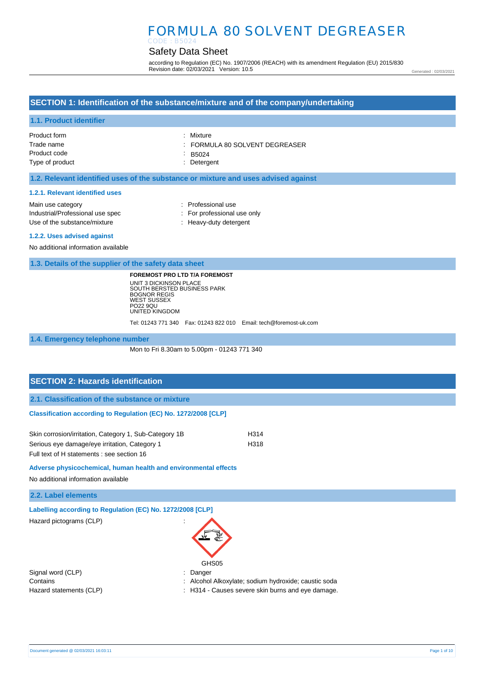#### Safety Data Sheet CODE : B5024

according to Regulation (EC) No. 1907/2006 (REACH) with its amendment Regulation (EU) 2015/830 Revision date: 02/03/2021 Version: 10.5

Generated : 02/03/2021

## **SECTION 1: Identification of the substance/mixture and of the company/undertaking**

### **1.1. Product identifier**

| Product form    | : Mixture                    |
|-----------------|------------------------------|
| Trade name      | FORMULA 80 SOLVENT DEGREASER |
| Product code    | $\therefore$ B5024           |
| Type of product | : Detergent                  |

### **1.2. Relevant identified uses of the substance or mixture and uses advised against**

#### **1.2.1. Relevant identified uses**

| Main use category                |
|----------------------------------|
| Industrial/Professional use spec |
| Use of the substance/mixture     |

- : Professional use : For professional use only
- : Heavy-duty detergent

#### **1.2.2. Uses advised against**

No additional information available

**1.3. Details of the supplier of the safety data sheet**

**FOREMOST PRO LTD T/A FOREMOST** UNIT 3 DICKINSON PLACE SOUTH BERSTED BUSINESS PARK BOGNOR REGIS WEST SUSSEX PO22 9QU UNITED KINGDOM

Tel: 01243 771 340 Fax: 01243 822 010 Email: tech@foremost-uk.com

#### **1.4. Emergency telephone number**

Mon to Fri 8.30am to 5.00pm - 01243 771 340

# **SECTION 2: Hazards identification**

**2.1. Classification of the substance or mixture**

### **Classification according to Regulation (EC) No. 1272/2008 [CLP]**

| Skin corrosion/irritation, Category 1, Sub-Category 1B | H314 |
|--------------------------------------------------------|------|
| Serious eye damage/eye irritation, Category 1          | H318 |
| Full text of H statements : see section 16             |      |

### **Adverse physicochemical, human health and environmental effects**

No additional information available

## **2.2. Label elements**

**Labelling according to Regulation (EC) No. 1272/2008 [CLP]** 

Hazard pictograms (CLP) :



Signal word (CLP) **in the set of the CLP** of the Signal word (CLP) **in the Signal word (CLP**)

- Contains : Alcohol Alkoxylate; sodium hydroxide; caustic soda
- Hazard statements (CLP)  $\qquad \qquad$ : H314 Causes severe skin burns and eye damage.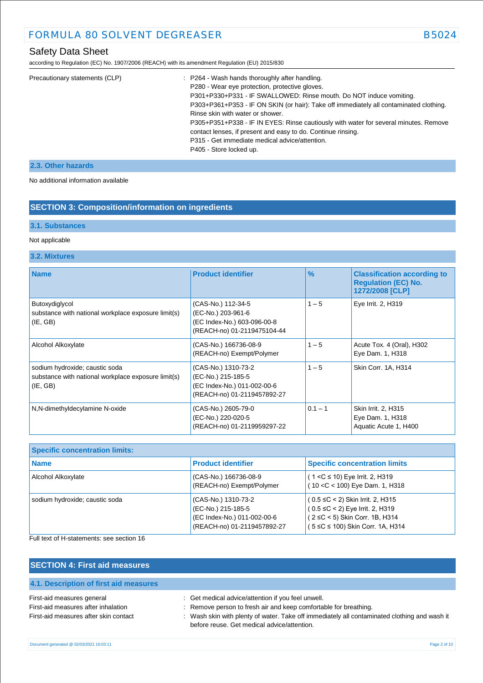according to Regulation (EC) No. 1907/2006 (REACH) with its amendment Regulation (EU) 2015/830

| Precautionary statements (CLP) | : P264 - Wash hands thoroughly after handling.                                         |
|--------------------------------|----------------------------------------------------------------------------------------|
|                                | P280 - Wear eye protection, protective gloves.                                         |
|                                | P301+P330+P331 - IF SWALLOWED: Rinse mouth. Do NOT induce vomiting.                    |
|                                | P303+P361+P353 - IF ON SKIN (or hair): Take off immediately all contaminated clothing. |
|                                | Rinse skin with water or shower.                                                       |
|                                | P305+P351+P338 - IF IN EYES: Rinse cautiously with water for several minutes. Remove   |
|                                | contact lenses, if present and easy to do. Continue rinsing.                           |
|                                | P315 - Get immediate medical advice/attention.                                         |
|                                | P405 - Store locked up.                                                                |
|                                |                                                                                        |

## **2.3. Other hazards**

No additional information available

## **SECTION 3: Composition/information on ingredients**

### **3.1. Substances**

### Not applicable

## **3.2. Mixtures**

| <b>Name</b>                                                                                      | <b>Product identifier</b>                                                                               | $\frac{9}{6}$ | <b>Classification according to</b><br><b>Requlation (EC) No.</b><br>1272/2008 [CLP] |
|--------------------------------------------------------------------------------------------------|---------------------------------------------------------------------------------------------------------|---------------|-------------------------------------------------------------------------------------|
| Butoxydiglycol<br>substance with national workplace exposure limit(s)<br>(E, GB)                 | (CAS-No.) 112-34-5<br>(EC-No.) 203-961-6<br>(EC Index-No.) 603-096-00-8<br>(REACH-no) 01-2119475104-44  | $1 - 5$       | Eye Irrit. 2, H319                                                                  |
| Alcohol Alkoxylate                                                                               | (CAS-No.) 166736-08-9<br>(REACH-no) Exempt/Polymer                                                      | $1 - 5$       | Acute Tox. 4 (Oral), H302<br>Eye Dam. 1, H318                                       |
| sodium hydroxide; caustic soda<br>substance with national workplace exposure limit(s)<br>(E, GB) | (CAS-No.) 1310-73-2<br>(EC-No.) 215-185-5<br>(EC Index-No.) 011-002-00-6<br>(REACH-no) 01-2119457892-27 | $1 - 5$       | Skin Corr. 1A, H314                                                                 |
| N,N-dimethyldecylamine N-oxide                                                                   | (CAS-No.) 2605-79-0<br>(EC-No.) 220-020-5<br>(REACH-no) 01-2119959297-22                                | $0.1 - 1$     | Skin Irrit. 2, H315<br>Eye Dam. 1, H318<br>Aquatic Acute 1, H400                    |

| <b>Specific concentration limits:</b> |                                                                                                         |                                                                                                                                                 |
|---------------------------------------|---------------------------------------------------------------------------------------------------------|-------------------------------------------------------------------------------------------------------------------------------------------------|
| Name                                  | <b>Product identifier</b>                                                                               | <b>Specific concentration limits</b>                                                                                                            |
| Alcohol Alkoxylate                    | (CAS-No.) 166736-08-9<br>(REACH-no) Exempt/Polymer                                                      | $(1 < C \le 10)$ Eye Irrit. 2, H319<br>$(10 < C < 100)$ Eye Dam. 1, H318                                                                        |
| sodium hydroxide; caustic soda        | (CAS-No.) 1310-73-2<br>(EC-No.) 215-185-5<br>(EC Index-No.) 011-002-00-6<br>(REACH-no) 01-2119457892-27 | (0.5 ≤C < 2) Skin Irrit. 2, H315<br>$(0.5 \leq C < 2)$ Eye Irrit. 2, H319<br>(2 ≤C < 5) Skin Corr. 1B, H314<br>(5 ≤C ≤ 100) Skin Corr. 1A, H314 |

Full text of H-statements: see section 16

| <b>SECTION 4: First aid measures</b>                                                                       |                                                                                                                                                                                                                                                                       |
|------------------------------------------------------------------------------------------------------------|-----------------------------------------------------------------------------------------------------------------------------------------------------------------------------------------------------------------------------------------------------------------------|
| 4.1. Description of first aid measures                                                                     |                                                                                                                                                                                                                                                                       |
| First-aid measures general<br>First-aid measures after inhalation<br>First-aid measures after skin contact | : Get medical advice/attention if you feel unwell.<br>: Remove person to fresh air and keep comfortable for breathing.<br>: Wash skin with plenty of water. Take off immediately all contaminated clothing and wash it<br>before reuse. Get medical advice/attention. |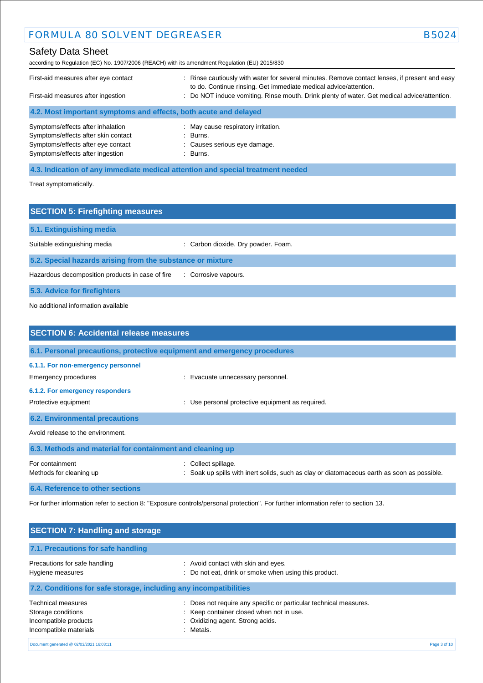# Safety Data Sheet

according to Regulation (EC) No. 1907/2006 (REACH) with its amendment Regulation (EU) 2015/830

| First-aid measures after eye contact<br>First-aid measures after ingestion | : Rinse cautiously with water for several minutes. Remove contact lenses, if present and easy<br>to do. Continue rinsing. Get immediate medical advice/attention.<br>: Do NOT induce vomiting. Rinse mouth. Drink plenty of water. Get medical advice/attention. |  |  |
|----------------------------------------------------------------------------|------------------------------------------------------------------------------------------------------------------------------------------------------------------------------------------------------------------------------------------------------------------|--|--|
| 4.2. Most important symptoms and effects, both acute and delayed           |                                                                                                                                                                                                                                                                  |  |  |
| Symptoms/effects after inhalation                                          | : May cause respiratory irritation.                                                                                                                                                                                                                              |  |  |
| Symptoms/effects after skin contact                                        | $\therefore$ Burns.                                                                                                                                                                                                                                              |  |  |
| Symptoms/effects after eye contact                                         | : Causes serious eye damage.                                                                                                                                                                                                                                     |  |  |
| Symptoms/effects after ingestion                                           | : Burns.                                                                                                                                                                                                                                                         |  |  |

**4.3. Indication of any immediate medical attention and special treatment needed**

Treat symptomatically.

| <b>SECTION 5: Firefighting measures</b>                    |                                     |  |
|------------------------------------------------------------|-------------------------------------|--|
| 5.1. Extinguishing media                                   |                                     |  |
| Suitable extinguishing media                               | : Carbon dioxide. Dry powder. Foam. |  |
| 5.2. Special hazards arising from the substance or mixture |                                     |  |
| Hazardous decomposition products in case of fire           | : Corrosive vapours.                |  |
| 5.3. Advice for firefighters                               |                                     |  |

No additional information available

| <b>SECTION 6: Accidental release measures</b>              |                                                                                                                       |  |
|------------------------------------------------------------|-----------------------------------------------------------------------------------------------------------------------|--|
|                                                            | 6.1. Personal precautions, protective equipment and emergency procedures                                              |  |
| 6.1.1. For non-emergency personnel<br>Emergency procedures | : Evacuate unnecessary personnel.                                                                                     |  |
| 6.1.2. For emergency responders<br>Protective equipment    | Use personal protective equipment as required.                                                                        |  |
| <b>6.2. Environmental precautions</b>                      |                                                                                                                       |  |
| Avoid release to the environment.                          |                                                                                                                       |  |
| 6.3. Methods and material for containment and cleaning up  |                                                                                                                       |  |
| For containment<br>Methods for cleaning up                 | Collect spillage.<br>÷<br>: Soak up spills with inert solids, such as clay or diatomaceous earth as soon as possible. |  |
| 6.4. Reference to other sections                           |                                                                                                                       |  |

For further information refer to section 8: "Exposure controls/personal protection". For further information refer to section 13.

| <b>SECTION 7: Handling and storage</b>                                                             |                                                                                                                                                            |              |
|----------------------------------------------------------------------------------------------------|------------------------------------------------------------------------------------------------------------------------------------------------------------|--------------|
| 7.1. Precautions for safe handling                                                                 |                                                                                                                                                            |              |
| Precautions for safe handling<br>Hygiene measures                                                  | : Avoid contact with skin and eyes.<br>Do not eat, drink or smoke when using this product.                                                                 |              |
| 7.2. Conditions for safe storage, including any incompatibilities                                  |                                                                                                                                                            |              |
| <b>Technical measures</b><br>Storage conditions<br>Incompatible products<br>Incompatible materials | Does not require any specific or particular technical measures.<br>: Keep container closed when not in use.<br>: Oxidizing agent. Strong acids.<br>Metals. |              |
| Document generated @ 02/03/2021 16:03:11                                                           |                                                                                                                                                            | Page 3 of 10 |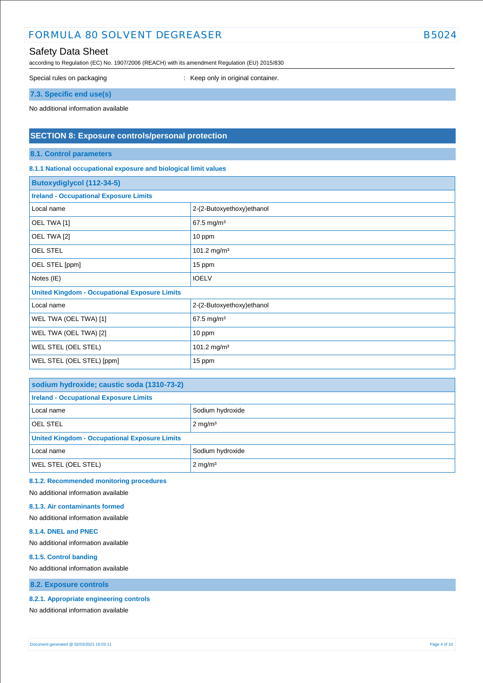## Safety Data Sheet

according to Regulation (EC) No. 1907/2006 (REACH) with its amendment Regulation (EU) 2015/830

Special rules on packaging **interest of the Container** : Keep only in original container.

**7.3. Specific end use(s)**

No additional information available

## **SECTION 8: Exposure controls/personal protection**

**8.1. Control parameters**

### **8.1.1 National occupational exposure and biological limit values**

| <b>Butoxydiglycol (112-34-5)</b>                     |                           |  |
|------------------------------------------------------|---------------------------|--|
| <b>Ireland - Occupational Exposure Limits</b>        |                           |  |
| Local name                                           | 2-(2-Butoxyethoxy)ethanol |  |
| OEL TWA [1]                                          | 67.5 mg/m <sup>3</sup>    |  |
| OEL TWA [2]                                          | 10 ppm                    |  |
| <b>OEL STEL</b>                                      | 101.2 mg/m <sup>3</sup>   |  |
| OEL STEL [ppm]                                       | 15 ppm                    |  |
| Notes (IE)                                           | <b>IOELV</b>              |  |
| <b>United Kingdom - Occupational Exposure Limits</b> |                           |  |
| Local name                                           | 2-(2-Butoxyethoxy)ethanol |  |
| WEL TWA (OEL TWA) [1]                                | 67.5 mg/m <sup>3</sup>    |  |
| WEL TWA (OEL TWA) [2]                                | 10 ppm                    |  |
| WEL STEL (OEL STEL)                                  | 101.2 mg/m <sup>3</sup>   |  |
| WEL STEL (OEL STEL) [ppm]                            | 15 ppm                    |  |

| sodium hydroxide; caustic soda (1310-73-2)           |                    |  |
|------------------------------------------------------|--------------------|--|
| <b>Ireland - Occupational Exposure Limits</b>        |                    |  |
| Local name                                           | Sodium hydroxide   |  |
| <b>OEL STEL</b>                                      | $2 \text{ mg/m}^3$ |  |
| <b>United Kingdom - Occupational Exposure Limits</b> |                    |  |
| Local name                                           | Sodium hydroxide   |  |
| WEL STEL (OEL STEL)                                  | $2 \text{ mg/m}^3$ |  |

**8.1.2. Recommended monitoring procedures** 

No additional information available

#### **8.1.3. Air contaminants formed**

No additional information available

### **8.1.4. DNEL and PNEC**

No additional information available

#### **8.1.5. Control banding**

No additional information available

**8.2. Exposure controls**

#### **8.2.1. Appropriate engineering controls**

No additional information available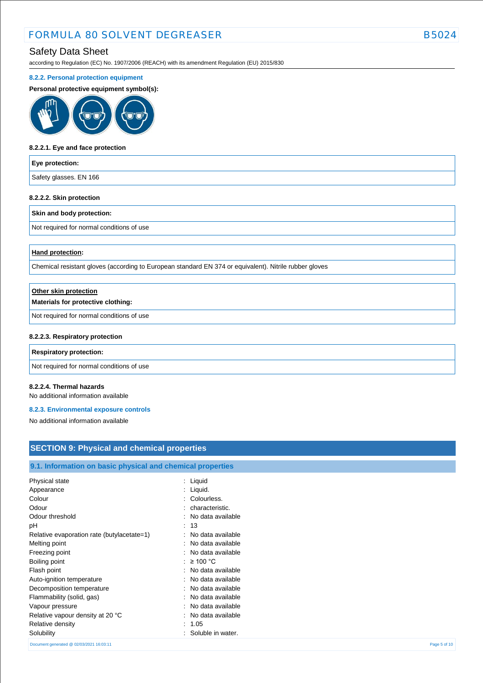## Safety Data Sheet

according to Regulation (EC) No. 1907/2006 (REACH) with its amendment Regulation (EU) 2015/830

#### **8.2.2. Personal protection equipment**

#### **Personal protective equipment symbol(s):**



#### **8.2.2.1. Eye and face protection**

#### **Eye protection:**

Safety glasses. EN 166

#### **8.2.2.2. Skin protection**

#### **Skin and body protection:**

Not required for normal conditions of use

### **Hand protection:**

Chemical resistant gloves (according to European standard EN 374 or equivalent). Nitrile rubber gloves

| Other skin protection                     |  |
|-------------------------------------------|--|
| Materials for protective clothing:        |  |
| Not required for normal conditions of use |  |
| 8.2.2.3. Respiratory protection           |  |
| <b>Respiratory protection:</b>            |  |
|                                           |  |

Not required for normal conditions of use

### **8.2.2.4. Thermal hazards**

No additional information available

#### **8.2.3. Environmental exposure controls**

No additional information available

## **SECTION 9: Physical and chemical properties**

## **9.1. Information on basic physical and chemical properties**

| Physical state                             | : Liquid            |              |
|--------------------------------------------|---------------------|--------------|
| Appearance                                 | : Liquid.           |              |
| Colour                                     | : Colourless.       |              |
| Odour                                      | characteristic.     |              |
| Odour threshold                            | : No data available |              |
| рH                                         | : 13                |              |
| Relative evaporation rate (butylacetate=1) | : No data available |              |
| Melting point                              | : No data available |              |
| Freezing point                             | : No data available |              |
| Boiling point                              | : $\geq 100$ °C     |              |
| Flash point                                | : No data available |              |
| Auto-ignition temperature                  | : No data available |              |
| Decomposition temperature                  | : No data available |              |
| Flammability (solid, gas)                  | : No data available |              |
| Vapour pressure                            | : No data available |              |
| Relative vapour density at 20 °C           | : No data available |              |
| Relative density                           | : 1.05              |              |
| Solubility                                 | Soluble in water.   |              |
| Document generated @ 02/03/2021 16:03:11   |                     | Page 5 of 10 |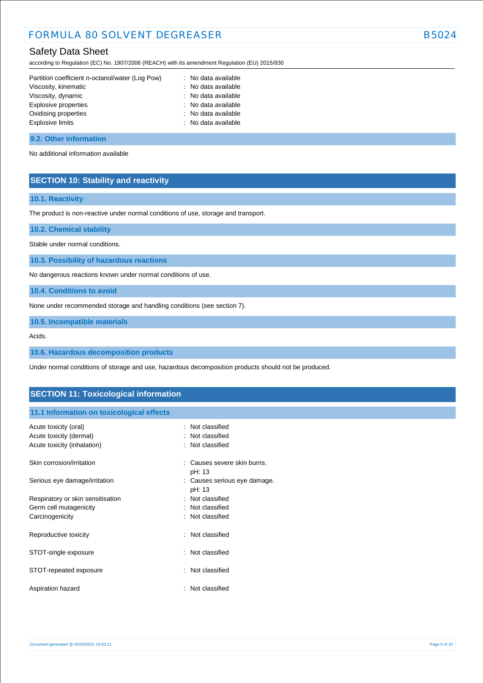## Safety Data Sheet

according to Regulation (EC) No. 1907/2006 (REACH) with its amendment Regulation (EU) 2015/830

| Partition coefficient n-octanol/water (Log Pow) | : No data available |
|-------------------------------------------------|---------------------|
| Viscosity, kinematic                            | : No data available |
| Viscosity, dynamic                              | : No data available |
| Explosive properties                            | : No data available |
| Oxidising properties                            | : No data available |
| <b>Explosive limits</b>                         | : No data available |
|                                                 |                     |

#### **9.2. Other information**

No additional information available

## **SECTION 10: Stability and reactivity**

### **10.1. Reactivity**

The product is non-reactive under normal conditions of use, storage and transport.

**10.2. Chemical stability**

Stable under normal conditions.

**10.3. Possibility of hazardous reactions**

No dangerous reactions known under normal conditions of use.

**10.4. Conditions to avoid**

None under recommended storage and handling conditions (see section 7).

**10.5. Incompatible materials**

Acids.

**10.6. Hazardous decomposition products**

Under normal conditions of storage and use, hazardous decomposition products should not be produced.

## **SECTION 11: Toxicological information**

### **11.1 Information on toxicological effects**

| Acute toxicity (oral)<br>Acute toxicity (dermal)<br>Acute toxicity (inhalation) | $:$ Not classified<br>: Not classified<br>: Not classified |
|---------------------------------------------------------------------------------|------------------------------------------------------------|
| Skin corrosion/irritation                                                       | Causes severe skin burns.<br>pH: 13                        |
| Serious eye damage/irritation                                                   | : Causes serious eye damage.<br>pH: 13                     |
| Respiratory or skin sensitisation                                               | : Not classified                                           |
| Germ cell mutagenicity                                                          | : Not classified                                           |
| Carcinogenicity                                                                 | : Not classified                                           |
| Reproductive toxicity                                                           | : Not classified                                           |
| STOT-single exposure                                                            | : Not classified                                           |
| STOT-repeated exposure                                                          | : Not classified                                           |
| Aspiration hazard                                                               | : Not classified                                           |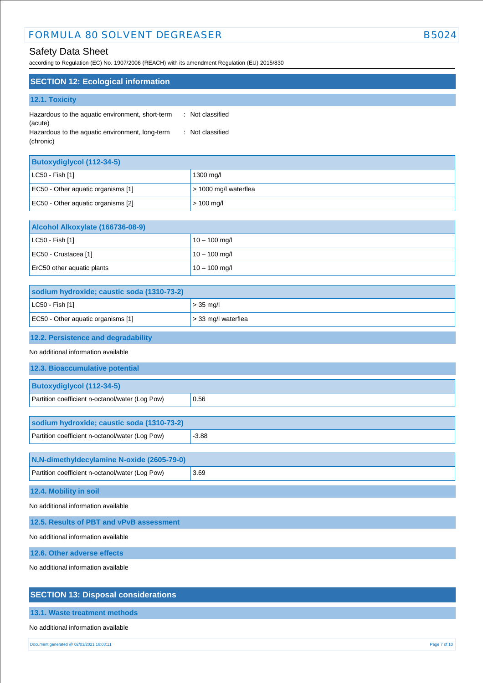## Safety Data Sheet

according to Regulation (EC) No. 1907/2006 (REACH) with its amendment Regulation (EU) 2015/830

| <b>SECTION 12: Ecological information</b>                   |                  |
|-------------------------------------------------------------|------------------|
| 12.1. Toxicity                                              |                  |
| Hazardous to the aquatic environment, short-term<br>(acute) | : Not classified |
| Hazardous to the aquatic environment, long-term             | : Not classified |

(chronic)

| <b>Butoxydiglycol (112-34-5)</b>   |                               |
|------------------------------------|-------------------------------|
| $ $ LC50 - Fish [1]                | 1300 mg/l                     |
| EC50 - Other aquatic organisms [1] | $\vert$ > 1000 mg/l waterflea |
| EC50 - Other aquatic organisms [2] | $> 100$ mg/l                  |

| Alcohol Alkoxylate (166736-08-9) |                 |
|----------------------------------|-----------------|
| $CLC50 - Fish [1]$               | $10 - 100$ mg/l |
| EC50 - Crustacea [1]             | $10 - 100$ mg/l |
| ErC50 other aquatic plants       | $10 - 100$ mg/l |

| sodium hydroxide; caustic soda (1310-73-2) |                             |
|--------------------------------------------|-----------------------------|
| $ $ LC50 - Fish [1]                        | $\vert$ > 35 mg/l           |
| EC50 - Other aquatic organisms [1]         | $\vert$ > 33 mg/l waterflea |

## **12.2. Persistence and degradability**

No additional information available

| 12.3. Bioaccumulative potential                 |      |
|-------------------------------------------------|------|
| <b>Butoxydiglycol (112-34-5)</b>                |      |
| Partition coefficient n-octanol/water (Log Pow) | 0.56 |
|                                                 |      |

| sodium hydroxide; caustic soda (1310-73-2)      |         |
|-------------------------------------------------|---------|
| Partition coefficient n-octanol/water (Log Pow) | $-3.88$ |

| N,N-dimethyldecylamine N-oxide (2605-79-0)      |      |
|-------------------------------------------------|------|
| Partition coefficient n-octanol/water (Log Pow) | 3.69 |
|                                                 |      |

**12.4. Mobility in soil**

No additional information available

**12.5. Results of PBT and vPvB assessment**

No additional information available

**12.6. Other adverse effects**

No additional information available

## **SECTION 13: Disposal considerations**

**13.1. Waste treatment methods**

No additional information available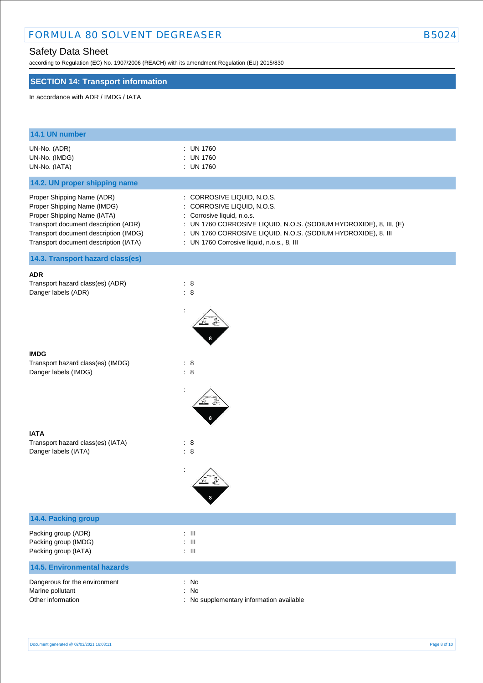# Safety Data Sheet

according to Regulation (EC) No. 1907/2006 (REACH) with its amendment Regulation (EU) 2015/830

## **SECTION 14: Transport information**

In accordance with ADR / IMDG / IATA

| 14.1 UN number                                                                                                                                                                                                     |                                                                                                                                                                                                                                                                           |
|--------------------------------------------------------------------------------------------------------------------------------------------------------------------------------------------------------------------|---------------------------------------------------------------------------------------------------------------------------------------------------------------------------------------------------------------------------------------------------------------------------|
| UN-No. (ADR)<br>UN-No. (IMDG)<br>UN-No. (IATA)                                                                                                                                                                     | : UN 1760<br><b>UN 1760</b><br>: UN 1760                                                                                                                                                                                                                                  |
| 14.2. UN proper shipping name                                                                                                                                                                                      |                                                                                                                                                                                                                                                                           |
| Proper Shipping Name (ADR)<br>Proper Shipping Name (IMDG)<br>Proper Shipping Name (IATA)<br>Transport document description (ADR)<br>Transport document description (IMDG)<br>Transport document description (IATA) | : CORROSIVE LIQUID, N.O.S.<br>CORROSIVE LIQUID, N.O.S.<br>: Corrosive liquid, n.o.s.<br>: UN 1760 CORROSIVE LIQUID, N.O.S. (SODIUM HYDROXIDE), 8, III, (E)<br>: UN 1760 CORROSIVE LIQUID, N.O.S. (SODIUM HYDROXIDE), 8, III<br>: UN 1760 Corrosive liquid, n.o.s., 8, III |
| 14.3. Transport hazard class(es)                                                                                                                                                                                   |                                                                                                                                                                                                                                                                           |
| <b>ADR</b><br>Transport hazard class(es) (ADR)<br>Danger labels (ADR)                                                                                                                                              | $\therefore$ 8<br>$\therefore$ 8                                                                                                                                                                                                                                          |
| <b>IMDG</b><br>Transport hazard class(es) (IMDG)<br>Danger labels (IMDG)                                                                                                                                           | $\therefore$ 8<br>$\therefore$ 8                                                                                                                                                                                                                                          |
| <b>IATA</b><br>Transport hazard class(es) (IATA)<br>Danger labels (IATA)                                                                                                                                           | : 8<br>$\therefore$ 8                                                                                                                                                                                                                                                     |
| 14.4. Packing group                                                                                                                                                                                                |                                                                                                                                                                                                                                                                           |
| Packing group (ADR)                                                                                                                                                                                                | $\therefore$ III                                                                                                                                                                                                                                                          |
| Packing group (IMDG)<br>Packing group (IATA)                                                                                                                                                                       | $\pm$ III<br>$\pm$ III                                                                                                                                                                                                                                                    |
| <b>14.5. Environmental hazards</b>                                                                                                                                                                                 |                                                                                                                                                                                                                                                                           |
| Dangerous for the environment<br>Marine pollutant<br>Other information                                                                                                                                             | : No<br>No<br>$\ddot{\phantom{a}}$<br>: No supplementary information available                                                                                                                                                                                            |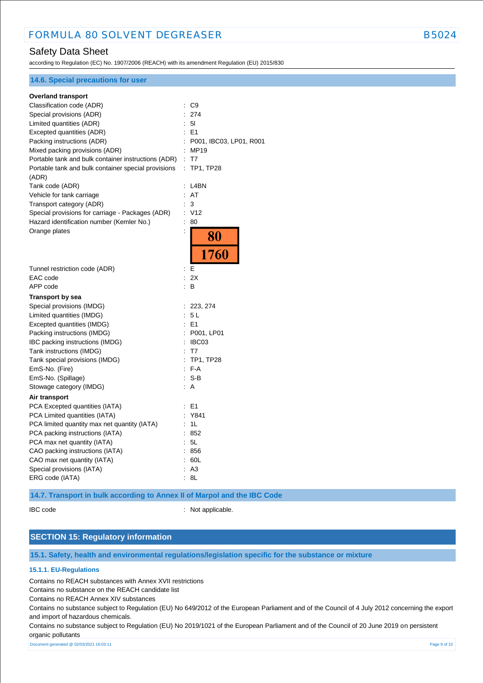## Safety Data Sheet

according to Regulation (EC) No. 1907/2006 (REACH) with its amendment Regulation (EU) 2015/830

| <b>14.6. Special precautions for user</b>           |                                           |
|-----------------------------------------------------|-------------------------------------------|
| <b>Overland transport</b>                           |                                           |
| Classification code (ADR)                           | $\therefore$ C9                           |
| Special provisions (ADR)                            | : 274                                     |
| Limited quantities (ADR)                            | : 51                                      |
| Excepted quantities (ADR)                           | $E = 51$                                  |
| Packing instructions (ADR)                          | : P001, IBC03, LP01, R001                 |
| Mixed packing provisions (ADR)                      | : MP19                                    |
| Portable tank and bulk container instructions (ADR) | : T7                                      |
| Portable tank and bulk container special provisions | $\mathbb{Z}^{\times}$<br><b>TP1, TP28</b> |
| (ADR)                                               |                                           |
| Tank code (ADR)                                     | $:$ L4BN                                  |
| Vehicle for tank carriage                           | : AT                                      |
| Transport category (ADR)                            | 3                                         |
| Special provisions for carriage - Packages (ADR)    | : V12                                     |
| Hazard identification number (Kemler No.)           | 80<br>÷                                   |
| Orange plates                                       |                                           |
|                                                     | 80                                        |
|                                                     | 1760                                      |
|                                                     |                                           |
| Tunnel restriction code (ADR)                       | Е<br>÷.                                   |
| EAC code                                            | 2X                                        |
| APP code                                            | B<br>÷.                                   |
| <b>Transport by sea</b>                             |                                           |
| Special provisions (IMDG)                           | : 223, 274                                |
| Limited quantities (IMDG)                           | : 5L                                      |
| Excepted quantities (IMDG)                          | : E1                                      |
| Packing instructions (IMDG)                         | : P001, LP01                              |
| IBC packing instructions (IMDG)                     | : IBC03                                   |
| Tank instructions (IMDG)                            | : T7                                      |
| Tank special provisions (IMDG)                      | : TP1, TP28                               |
| EmS-No. (Fire)                                      | $: F-A$                                   |
| EmS-No. (Spillage)                                  | $:$ S-B                                   |
| Stowage category (IMDG)                             | : A                                       |
| Air transport                                       |                                           |
| PCA Excepted quantities (IATA)                      | : E1                                      |
| PCA Limited quantities (IATA)                       | : Y841                                    |
| PCA limited quantity max net quantity (IATA)        | : 1L                                      |
| PCA packing instructions (IATA)                     | : 852                                     |
| PCA max net quantity (IATA)                         | : 5L                                      |
| CAO packing instructions (IATA)                     | : 856                                     |
| CAO max net quantity (IATA)                         | : 60L                                     |
| Special provisions (IATA)                           | : A3                                      |
| ERG code (IATA)                                     | 8L                                        |

**14.7. Transport in bulk according to Annex II of Marpol and the IBC Code**

IBC code : Not applicable.

## **SECTION 15: Regulatory information**

**15.1. Safety, health and environmental regulations/legislation specific for the substance or mixture**

### **15.1.1. EU-Regulations**

Contains no REACH substances with Annex XVII restrictions

Contains no substance on the REACH candidate list

Contains no REACH Annex XIV substances

Contains no substance subject to Regulation (EU) No 649/2012 of the European Parliament and of the Council of 4 July 2012 concerning the export and import of hazardous chemicals.

Contains no substance subject to Regulation (EU) No 2019/1021 of the European Parliament and of the Council of 20 June 2019 on persistent organic pollutants